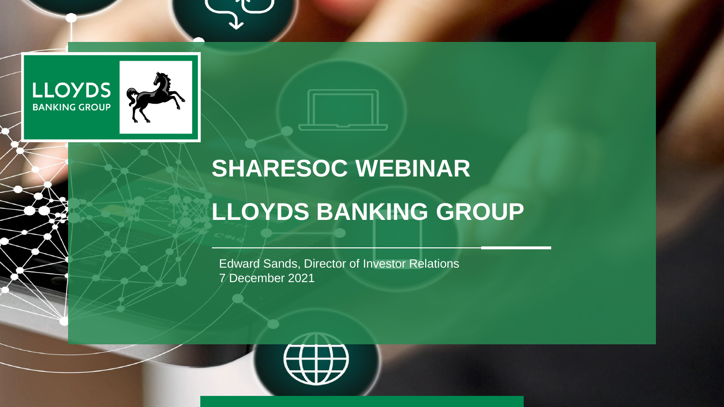



# **SHARESOC WEBINAR**

### **LLOYDS BANKING GROUP**

Edward Sands, Director of Investor Relations 7 December 2021

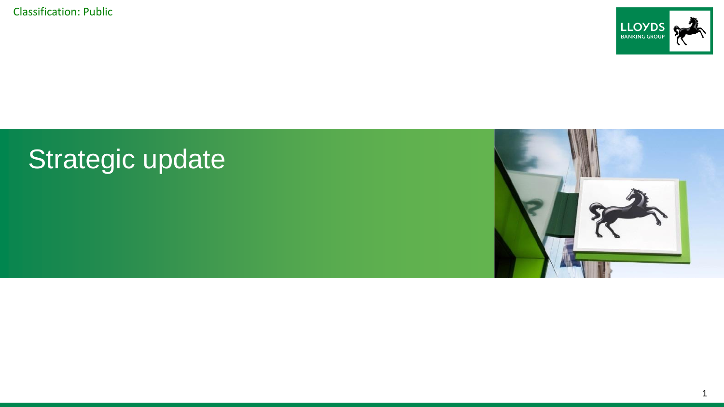

## Strategic update

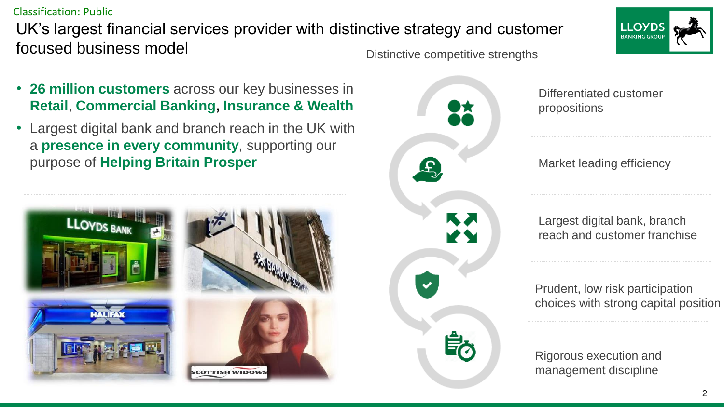UK's largest financial services provider with distinctive strategy and customer focused business model Distinctive competitive strengths

- **26 million customers** across our key businesses in **Retail**, **Commercial Banking, Insurance & Wealth**
- Largest digital bank and branch reach in the UK with a **presence in every community**, supporting our purpose of **Helping Britain Prosper**



Ω ĶЛ



Differentiated customer propositions

Market leading efficiency

Largest digital bank, branch reach and customer franchise

Prudent, low risk participation choices with strong capital position

Rigorous execution and management discipline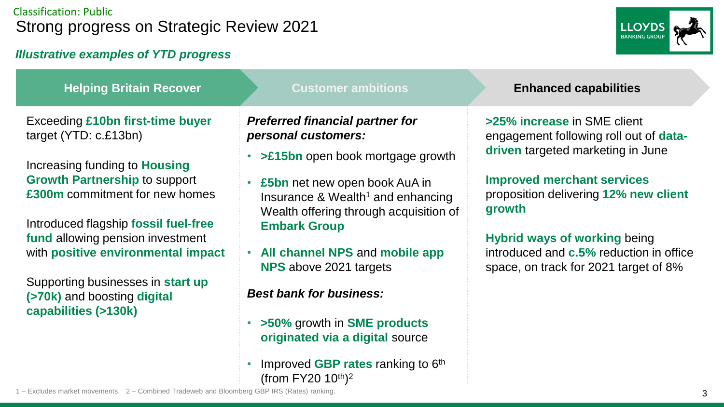#### Classification: Public Strong progress on Strategic Review 2021

#### *Illustrative examples of YTD progress*



| <b>Helping Britain Recover</b>                                                                                                                                                                                                                                                                                                                                                            | <b>Customer ambitions</b>                                                                                                                                                                                                                                                                                                                                                                                                            | <b>Enhanced capabilities</b>                                                                                                                                                                                                                                                                                                         |
|-------------------------------------------------------------------------------------------------------------------------------------------------------------------------------------------------------------------------------------------------------------------------------------------------------------------------------------------------------------------------------------------|--------------------------------------------------------------------------------------------------------------------------------------------------------------------------------------------------------------------------------------------------------------------------------------------------------------------------------------------------------------------------------------------------------------------------------------|--------------------------------------------------------------------------------------------------------------------------------------------------------------------------------------------------------------------------------------------------------------------------------------------------------------------------------------|
| Exceeding £10bn first-time buyer<br>target (YTD: c.£13bn)<br>Increasing funding to <b>Housing</b><br><b>Growth Partnership to support</b><br>£300m commitment for new homes<br>Introduced flagship fossil fuel-free<br>fund allowing pension investment<br>with positive environmental impact<br>Supporting businesses in start up<br>(>70k) and boosting digital<br>capabilities (>130k) | <b>Preferred financial partner for</b><br>personal customers:<br>>£15bn open book mortgage growth<br>£5bn net new open book AuA in<br>٠<br>Insurance & Wealth <sup>1</sup> and enhancing<br>Wealth offering through acquisition of<br><b>Embark Group</b><br>• All channel NPS and mobile app<br>NPS above 2021 targets<br><b>Best bank for business:</b><br>• >50% growth in <b>SME</b> products<br>originated via a digital source | >25% increase in SME client<br>engagement following roll out of data-<br>driven targeted marketing in June<br><b>Improved merchant services</b><br>proposition delivering 12% new client<br>growth<br><b>Hybrid ways of working being</b><br>introduced and <b>c.5%</b> reduction in office<br>space, on track for 2021 target of 8% |
|                                                                                                                                                                                                                                                                                                                                                                                           | Improved GBP rates ranking to 6 <sup>th</sup>                                                                                                                                                                                                                                                                                                                                                                                        |                                                                                                                                                                                                                                                                                                                                      |

(from FY20  $10^{th}$ )<sup>2</sup>

1 – Excludes market movements. 2 – Combined Tradeweb and Bloomberg GBP IRS (Rates) ranking.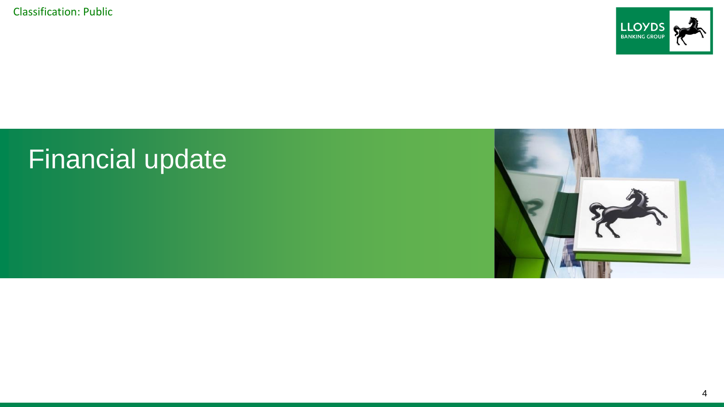

## Financial update

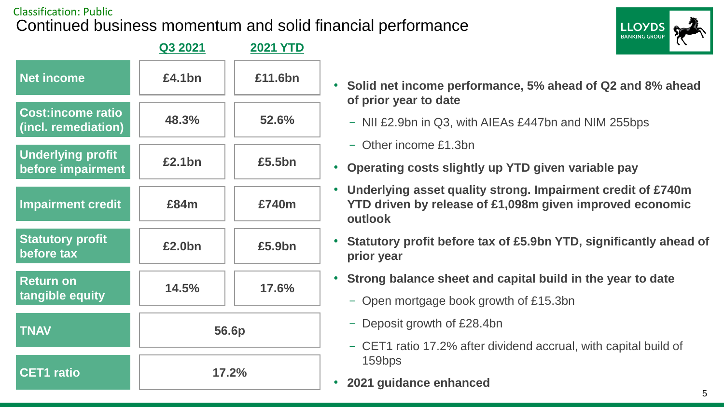#### Classification: Public Continued business momentum and solid financial performance





- **Solid net income performance, 5% ahead of Q2 and 8% ahead of prior year to date**
	- NII £2.9bn in Q3, with AIEAs £447bn and NIM 255bps
	- Other income £1.3bn
- **Operating costs slightly up YTD given variable pay**
- **Underlying asset quality strong. Impairment credit of £740m YTD driven by release of £1,098m given improved economic outlook**
- **Statutory profit before tax of £5.9bn YTD, significantly ahead of prior year**
- **Strong balance sheet and capital build in the year to date**
	- Open mortgage book growth of £15.3bn
	- Deposit growth of £28.4bn
	- CET1 ratio 17.2% after dividend accrual, with capital build of 159bps
- **2021 guidance enhanced**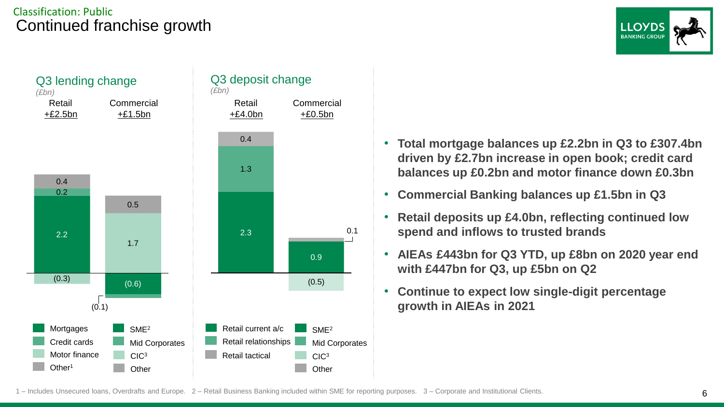#### Classification: Public Continued franchise growth





- **Total mortgage balances up £2.2bn in Q3 to £307.4bn driven by £2.7bn increase in open book; credit card balances up £0.2bn and motor finance down £0.3bn**
- **Commercial Banking balances up £1.5bn in Q3**
- **Retail deposits up £4.0bn, reflecting continued low spend and inflows to trusted brands**
- **AIEAs £443bn for Q3 YTD, up £8bn on 2020 year end with £447bn for Q3, up £5bn on Q2**
- **Continue to expect low single-digit percentage growth in AIEAs in 2021**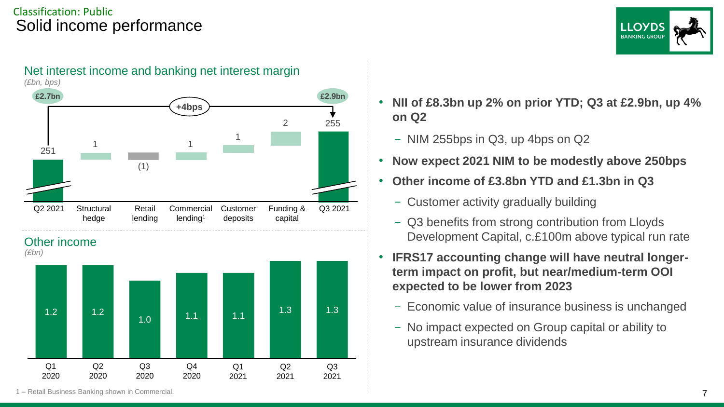#### Classification: Public Solid income performance











- **NII of £8.3bn up 2% on prior YTD; Q3 at £2.9bn, up 4% on Q2**
	- NIM 255bps in Q3, up 4bps on Q2
- **Now expect 2021 NIM to be modestly above 250bps**
- **Other income of £3.8bn YTD and £1.3bn in Q3**
	- Customer activity gradually building
	- Q3 benefits from strong contribution from Lloyds Development Capital, c.£100m above typical run rate
- **IFRS17 accounting change will have neutral longerterm impact on profit, but near/medium-term OOI expected to be lower from 2023**
	- Economic value of insurance business is unchanged
	- No impact expected on Group capital or ability to upstream insurance dividends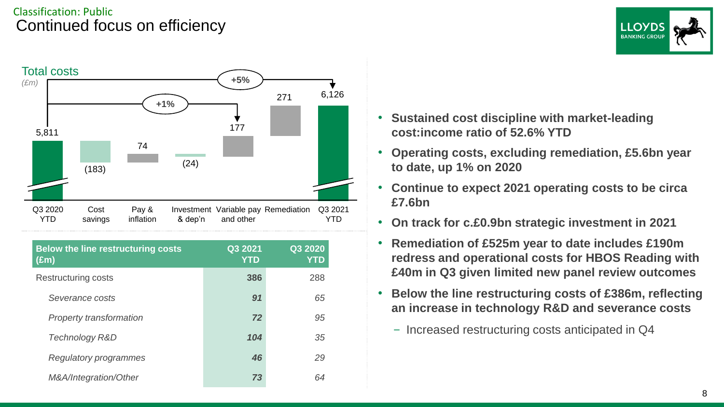#### Classification: Public Continued focus on efficiency





| <b>Below the line restructuring costs</b><br>$(\text{Em})$ | Q3 2021<br><b>YTD</b> | Q32020<br><b>YTD</b> |
|------------------------------------------------------------|-----------------------|----------------------|
| Restructuring costs                                        | 386                   | 288                  |
| Severance costs                                            | 91                    | 65                   |
| Property transformation                                    | 72                    | 95                   |
| Technology R&D                                             | 104                   | 35                   |
| Regulatory programmes                                      | 46                    | 29                   |
| M&A/Integration/Other                                      | 73                    | 64                   |

- **Sustained cost discipline with market-leading cost:income ratio of 52.6% YTD**
- **Operating costs, excluding remediation, £5.6bn year to date, up 1% on 2020**
- **Continue to expect 2021 operating costs to be circa £7.6bn**
- **On track for c.£0.9bn strategic investment in 2021**
- **Remediation of £525m year to date includes £190m redress and operational costs for HBOS Reading with £40m in Q3 given limited new panel review outcomes**
- **Below the line restructuring costs of £386m, reflecting an increase in technology R&D and severance costs**
	- Increased restructuring costs anticipated in Q4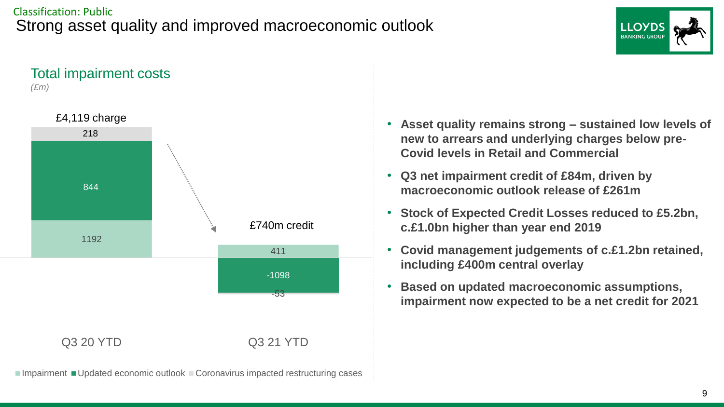#### Classification: Public Strong asset quality and improved macroeconomic outlook





 $\blacksquare$ Impairment  $\blacksquare$ Updated economic outlook  $\blacksquare$  Coronavirus impacted restructuring cases

- **Asset quality remains strong – sustained low levels of new to arrears and underlying charges below pre-Covid levels in Retail and Commercial**
- **Q3 net impairment credit of £84m, driven by macroeconomic outlook release of £261m**
- **Stock of Expected Credit Losses reduced to £5.2bn, c.£1.0bn higher than year end 2019**
- **Covid management judgements of c.£1.2bn retained, including £400m central overlay**
- **Based on updated macroeconomic assumptions, impairment now expected to be a net credit for 2021**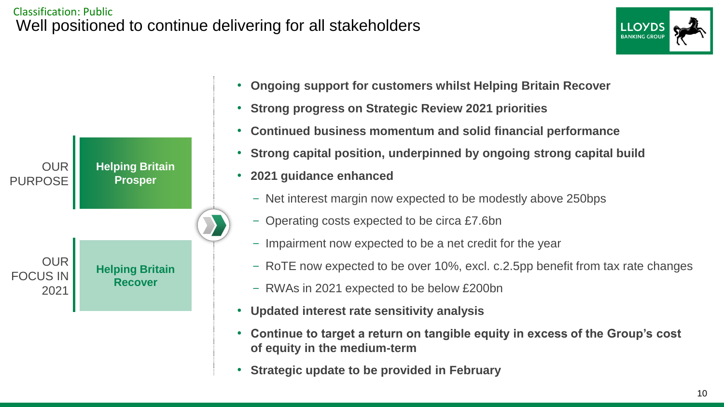#### Classification: Public Well positioned to continue delivering for all stakeholders

OUR

OUR

2021

FOCUS IN

**Helping Britain Prosper**

**Helping Britain Recover**

PURPOSE





- **Strong progress on Strategic Review 2021 priorities**
- **Continued business momentum and solid financial performance**
- **Strong capital position, underpinned by ongoing strong capital build**
- **2021 guidance enhanced**
	- Net interest margin now expected to be modestly above 250bps
	- Operating costs expected to be circa £7.6bn
	- Impairment now expected to be a net credit for the year
	- RoTE now expected to be over 10%, excl. c.2.5pp benefit from tax rate changes
	- RWAs in 2021 expected to be below £200bn
- **Updated interest rate sensitivity analysis**
- **Continue to target a return on tangible equity in excess of the Group's cost of equity in the medium-term**
- **Strategic update to be provided in February**